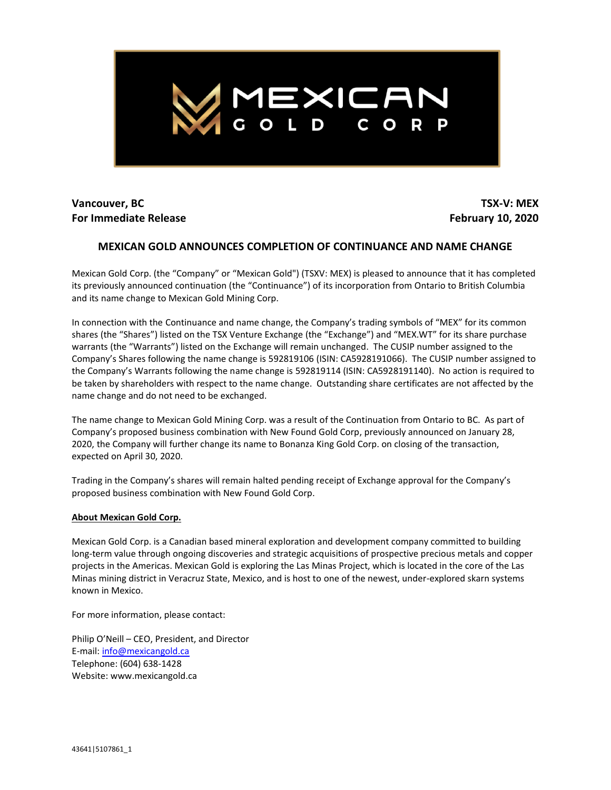

## **Vancouver, BC For Immediate Release**

**TSX-V: MEX February 10, 2020**

## **MEXICAN GOLD ANNOUNCES COMPLETION OF CONTINUANCE AND NAME CHANGE**

Mexican Gold Corp. (the "Company" or "Mexican Gold") (TSXV: MEX) is pleased to announce that it has completed its previously announced continuation (the "Continuance") of its incorporation from Ontario to British Columbia and its name change to Mexican Gold Mining Corp.

In connection with the Continuance and name change, the Company's trading symbols of "MEX" for its common shares (the "Shares") listed on the TSX Venture Exchange (the "Exchange") and "MEX.WT" for its share purchase warrants (the "Warrants") listed on the Exchange will remain unchanged. The CUSIP number assigned to the Company's Shares following the name change is 592819106 (ISIN: CA5928191066). The CUSIP number assigned to the Company's Warrants following the name change is 592819114 (ISIN: CA5928191140). No action is required to be taken by shareholders with respect to the name change. Outstanding share certificates are not affected by the name change and do not need to be exchanged.

The name change to Mexican Gold Mining Corp. was a result of the Continuation from Ontario to BC. As part of Company's proposed business combination with New Found Gold Corp, previously announced on January 28, 2020, the Company will further change its name to Bonanza King Gold Corp. on closing of the transaction, expected on April 30, 2020.

Trading in the Company's shares will remain halted pending receipt of Exchange approval for the Company's proposed business combination with New Found Gold Corp.

## **About Mexican Gold Corp.**

Mexican Gold Corp. is a Canadian based mineral exploration and development company committed to building long-term value through ongoing discoveries and strategic acquisitions of prospective precious metals and copper projects in the Americas. Mexican Gold is exploring the Las Minas Project, which is located in the core of the Las Minas mining district in Veracruz State, Mexico, and is host to one of the newest, under-explored skarn systems known in Mexico.

For more information, please contact:

Philip O'Neill – CEO, President, and Director E-mail: [info@mexicangold.ca](mailto:info@mexicangold.ca) Telephone: (604) 638-1428 Website: www.mexicangold.ca